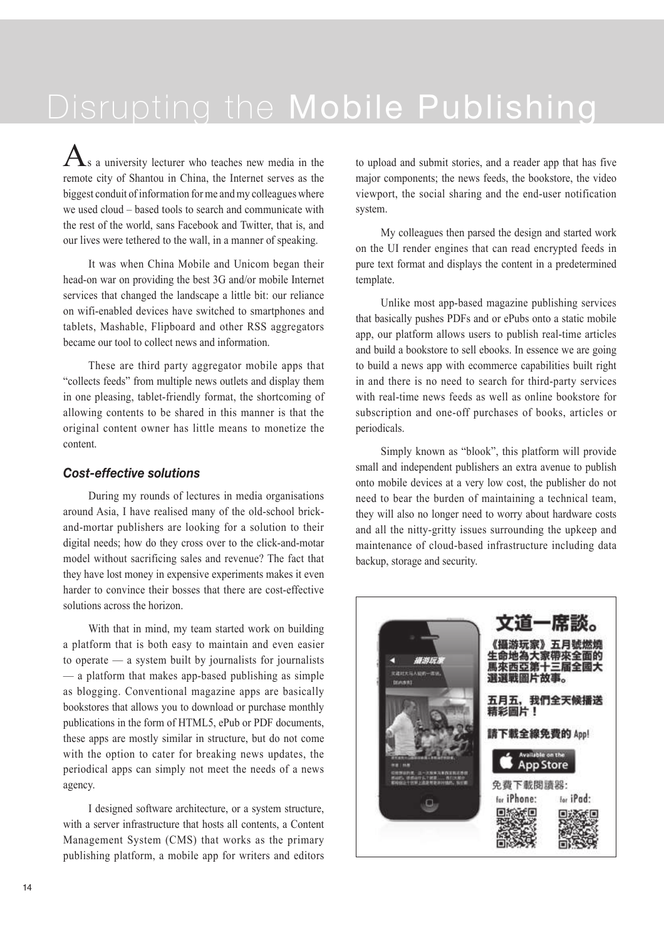# Disrupting the Mobile Publishing

 $\Lambda$ s a university lecturer who teaches new media in the remote city of Shantou in China, the Internet serves as the biggest conduit of information for me and my colleagues where we used cloud – based tools to search and communicate with the rest of the world, sans Facebook and Twitter, that is, and our lives were tethered to the wall, in a manner of speaking.

It was when China Mobile and Unicom began their head-on war on providing the best 3G and/or mobile Internet services that changed the landscape a little bit: our reliance on wifi-enabled devices have switched to smartphones and tablets, Mashable, Flipboard and other RSS aggregators became our tool to collect news and information.

These are third party aggregator mobile apps that "collects feeds" from multiple news outlets and display them in one pleasing, tablet-friendly format, the shortcoming of allowing contents to be shared in this manner is that the original content owner has little means to monetize the content.

### *Cost-effective solutions*

During my rounds of lectures in media organisations around Asia, I have realised many of the old-school brickand-mortar publishers are looking for a solution to their digital needs; how do they cross over to the click-and-motar model without sacrificing sales and revenue? The fact that they have lost money in expensive experiments makes it even harder to convince their bosses that there are cost-effective solutions across the horizon.

With that in mind, my team started work on building a platform that is both easy to maintain and even easier to operate — a system built by journalists for journalists — a platform that makes app-based publishing as simple as blogging. Conventional magazine apps are basically bookstores that allows you to download or purchase monthly publications in the form of HTML5, ePub or PDF documents, these apps are mostly similar in structure, but do not come with the option to cater for breaking news updates, the periodical apps can simply not meet the needs of a news agency.

I designed software architecture, or a system structure, with a server infrastructure that hosts all contents, a Content Management System (CMS) that works as the primary publishing platform, a mobile app for writers and editors to upload and submit stories, and a reader app that has five major components; the news feeds, the bookstore, the video viewport, the social sharing and the end-user notification system.

My colleagues then parsed the design and started work on the UI render engines that can read encrypted feeds in pure text format and displays the content in a predetermined template.

Unlike most app-based magazine publishing services that basically pushes PDFs and or ePubs onto a static mobile app, our platform allows users to publish real-time articles and build a bookstore to sell ebooks. In essence we are going to build a news app with ecommerce capabilities built right in and there is no need to search for third-party services with real-time news feeds as well as online bookstore for subscription and one-off purchases of books, articles or periodicals.

Simply known as "blook", this platform will provide small and independent publishers an extra avenue to publish onto mobile devices at a very low cost, the publisher do not need to bear the burden of maintaining a technical team, they will also no longer need to worry about hardware costs and all the nitty-gritty issues surrounding the upkeep and maintenance of cloud-based infrastructure including data backup, storage and security.